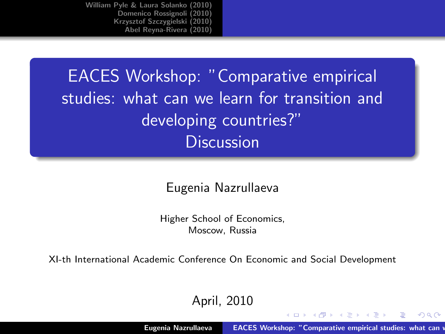EACES Workshop: "Comparative empirical studies: what can we learn for transition and developing countries?" **Discussion** 

Eugenia Nazrullaeva

Higher School of Economics, Moscow, Russia

XI-th International Academic Conference On Economic and Social Development

April, 2010

イロメ マ桐 メラミンマチャ

<span id="page-0-0"></span> $2Q$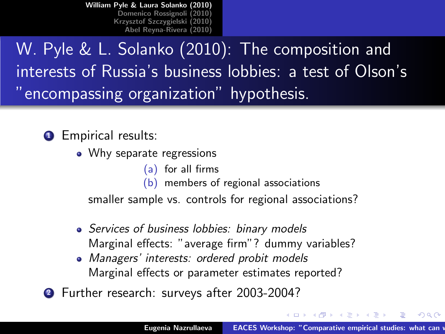W. Pyle & L. Solanko (2010): The composition and interests of Russia's business lobbies: a test of Olson's "encompassing organization" hypothesis.

**1** Empirical results:

- Why separate regressions
	- (a) for all firms
	- (b) members of regional associations

smaller sample vs. controls for regional associations?

- Services of business lobbies: binary models Marginal effects: "average firm"? dummy variables?
- Managers' interests: ordered probit models Marginal effects or parameter estimates reported?
- 2 Further research: surveys after 2003-2004?

イロメ イ押 トラ ミッショート

<span id="page-1-0"></span> $\Omega$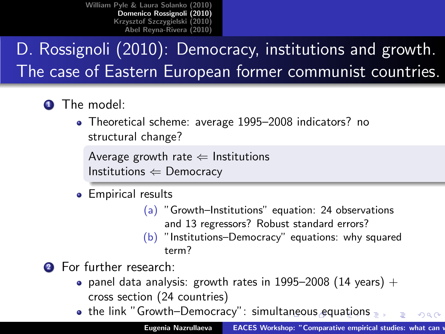## D. Rossignoli (2010): Democracy, institutions and growth. The case of Eastern European former communist countries.

- **1** The model:
	- Theoretical scheme: average 1995–2008 indicators? no structural change?

Average growth rate  $\Leftarrow$  Institutions Institutions  $\Leftarrow$  Democracy

- <span id="page-2-0"></span>• Empirical results
	- (a) "Growth–Institutions" equation: 24 observations and 13 regressors? Robust standard errors?
	- (b) "Institutions–Democracy" equations: why squared term?
- **2** For further research:
	- panel data analysis: growth rates in 1995–2008 (14 years)  $+$ cross section (24 countries)
	- $\bullet$  the link "Growth–Democracy": simult[an](#page-1-0)e[ou](#page-3-0)[s](#page-1-0) [e](#page-2-0)[q](#page-3-0)[ua](#page-1-0)[ti](#page-2-0)[on](#page-3-0)s  $\Omega$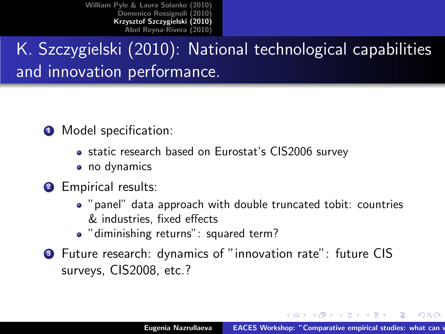## K. Szczygielski (2010): National technological capabilities and innovation performance.

- **O** Model specification:
	- static research based on Eurostat's CIS2006 survey
	- no dynamics
- <sup>2</sup> Empirical results:
	- "panel" data approach with double truncated tobit: countries & industries, fixed effects
	- "diminishing returns": squared term?
- <sup>3</sup> Future research: dynamics of "innovation rate": future CIS surveys, CIS2008, etc.?

イロメ マ桐 メラミンマチャ

<span id="page-3-0"></span> $\Omega$